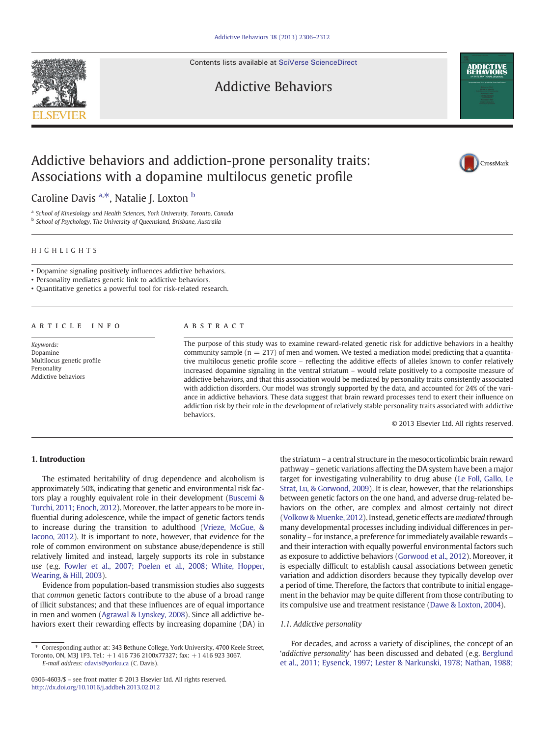Contents lists available at [SciVerse ScienceDirect](http://www.sciencedirect.com/science/journal/03064603)



Addictive Behaviors



Caroline Davis <sup>a,\*</sup>, Natalie J. Loxton <sup>b</sup>

<sup>a</sup> School of Kinesiology and Health Sciences, York University, Toronto, Canada

**b** School of Psychology, The University of Queensland, Brisbane, Australia

# HIGHLIGHTS

• Dopamine signaling positively influences addictive behaviors.

• Personality mediates genetic link to addictive behaviors.

• Quantitative genetics a powerful tool for risk-related research.

# article info abstract

Keywords: Dopamine Multilocus genetic profile Personality Addictive behaviors

The purpose of this study was to examine reward-related genetic risk for addictive behaviors in a healthy community sample ( $n = 217$ ) of men and women. We tested a mediation model predicting that a quantitative multilocus genetic profile score – reflecting the additive effects of alleles known to confer relatively increased dopamine signaling in the ventral striatum – would relate positively to a composite measure of addictive behaviors, and that this association would be mediated by personality traits consistently associated with addiction disorders. Our model was strongly supported by the data, and accounted for 24% of the variance in addictive behaviors. These data suggest that brain reward processes tend to exert their influence on addiction risk by their role in the development of relatively stable personality traits associated with addictive behaviors.

© 2013 Elsevier Ltd. All rights reserved.

**ADDICTIVE** 

CrossMark

# 1. Introduction

The estimated heritability of drug dependence and alcoholism is approximately 50%, indicating that genetic and environmental risk factors play a roughly equivalent role in their development ([Buscemi &](#page--1-0) [Turchi, 2011; Enoch, 2012\)](#page--1-0). Moreover, the latter appears to be more influential during adolescence, while the impact of genetic factors tends to increase during the transition to adulthood [\(Vrieze, McGue, &](#page--1-0) [Iacono, 2012\)](#page--1-0). It is important to note, however, that evidence for the role of common environment on substance abuse/dependence is still relatively limited and instead, largely supports its role in substance use (e.g. [Fowler et al., 2007; Poelen et al., 2008; White, Hopper,](#page--1-0) [Wearing, & Hill, 2003\)](#page--1-0).

Evidence from population-based transmission studies also suggests that common genetic factors contribute to the abuse of a broad range of illicit substances; and that these influences are of equal importance in men and women ([Agrawal & Lynskey, 2008](#page--1-0)). Since all addictive behaviors exert their rewarding effects by increasing dopamine (DA) in

E-mail address: [cdavis@yorku.ca](mailto:cdavis@yorku.ca) (C. Davis).

the striatum – a central structure in the mesocorticolimbic brain reward pathway – genetic variations affecting the DA system have been a major target for investigating vulnerability to drug abuse [\(Le Foll, Gallo, Le](#page--1-0) [Strat, Lu, & Gorwood, 2009](#page--1-0)). It is clear, however, that the relationships between genetic factors on the one hand, and adverse drug-related behaviors on the other, are complex and almost certainly not direct [\(Volkow & Muenke, 2012\)](#page--1-0). Instead, genetic effects are mediated through many developmental processes including individual differences in personality – for instance, a preference for immediately available rewards – and their interaction with equally powerful environmental factors such as exposure to addictive behaviors [\(Gorwood et al., 2012](#page--1-0)). Moreover, it is especially difficult to establish causal associations between genetic variation and addiction disorders because they typically develop over a period of time. Therefore, the factors that contribute to initial engagement in the behavior may be quite different from those contributing to its compulsive use and treatment resistance [\(Dawe & Loxton, 2004](#page--1-0)).

# 1.1. Addictive personality

For decades, and across a variety of disciplines, the concept of an 'addictive personality' has been discussed and debated (e.g. [Berglund](#page--1-0) [et al., 2011; Eysenck, 1997; Lester & Narkunski, 1978; Nathan, 1988;](#page--1-0)

<sup>⁎</sup> Corresponding author at: 343 Bethune College, York University, 4700 Keele Street, Toronto, ON, M3J 1P3. Tel.: +1 416 736 2100x77327; fax: +1 416 923 3067.

<sup>0306-4603/\$</sup> – see front matter © 2013 Elsevier Ltd. All rights reserved. <http://dx.doi.org/10.1016/j.addbeh.2013.02.012>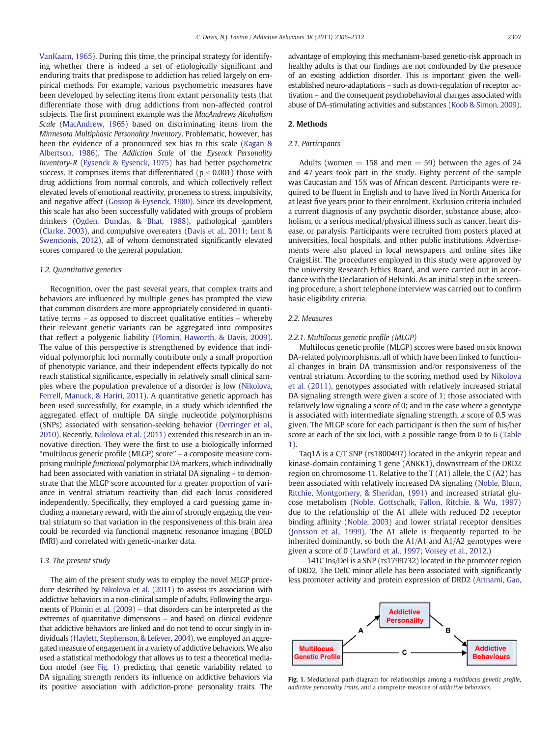[VanKaam, 1965](#page--1-0)). During this time, the principal strategy for identifying whether there is indeed a set of etiologically significant and enduring traits that predispose to addiction has relied largely on empirical methods. For example, various psychometric measures have been developed by selecting items from extant personality tests that differentiate those with drug addictions from non-affected control subjects. The first prominent example was the MacAndrews Alcoholism Scale ([MacAndrew, 1965\)](#page--1-0) based on discriminating items from the Minnesota Multiphasic Personality Inventory. Problematic, however, has been the evidence of a pronounced sex bias to this scale ([Kagan &](#page--1-0) [Albertson, 1986](#page--1-0)). The Addiction Scale of the Eysenck Personality Inventory-R ([Eysenck & Eysenck, 1975](#page--1-0)) has had better psychometric success. It comprises items that differentiated ( $p < 0.001$ ) those with drug addictions from normal controls, and which collectively reflect elevated levels of emotional reactivity, proneness to stress, impulsivity, and negative affect [\(Gossop & Eysenck, 1980](#page--1-0)). Since its development, this scale has also been successfully validated with groups of problem drinkers ([Ogden, Dundas, & Bhat, 1988](#page--1-0)), pathological gamblers [\(Clarke, 2003\)](#page--1-0), and compulsive overeaters [\(Davis et al., 2011; Lent &](#page--1-0) [Swencionis, 2012\)](#page--1-0), all of whom demonstrated significantly elevated scores compared to the general population.

# 1.2. Quantitative genetics

Recognition, over the past several years, that complex traits and behaviors are influenced by multiple genes has prompted the view that common disorders are more appropriately considered in quantitative terms – as opposed to discreet qualitative entities – whereby their relevant genetic variants can be aggregated into composites that reflect a polygenic liability ([Plomin, Haworth, & Davis, 2009](#page--1-0)). The value of this perspective is strengthened by evidence that individual polymorphic loci normally contribute only a small proportion of phenotypic variance, and their independent effects typically do not reach statistical significance, especially in relatively small clinical samples where the population prevalence of a disorder is low [\(Nikolova,](#page--1-0) [Ferrell, Manuck, & Hariri, 2011\)](#page--1-0). A quantitative genetic approach has been used successfully, for example, in a study which identified the aggregated effect of multiple DA single nucleotide polymorphisms (SNPs) associated with sensation-seeking behavior ([Derringer et al.,](#page--1-0) [2010](#page--1-0)). Recently, [Nikolova et al. \(2011\)](#page--1-0) extended this research in an innovative direction. They were the first to use a biologically informed "multilocus genetic profile (MLGP) score" – a composite measure comprising multiple functional polymorphic DA markers, which individually had been associated with variation in striatal DA signaling – to demonstrate that the MLGP score accounted for a greater proportion of variance in ventral striatum reactivity than did each locus considered independently. Specifically, they employed a card guessing game including a monetary reward, with the aim of strongly engaging the ventral striatum so that variation in the responsiveness of this brain area could be recorded via functional magnetic resonance imaging (BOLD fMRI) and correlated with genetic-marker data.

### 1.3. The present study

The aim of the present study was to employ the novel MLGP procedure described by [Nikolova et al. \(2011\)](#page--1-0) to assess its association with addictive behaviors in a non-clinical sample of adults. Following the arguments of [Plomin et al. \(2009\)](#page--1-0) – that disorders can be interpreted as the extremes of quantitative dimensions – and based on clinical evidence that addictive behaviors are linked and do not tend to occur singly in individuals [\(Haylett, Stephenson, & Lefever, 2004](#page--1-0)), we employed an aggregated measure of engagement in a variety of addictive behaviors. We also used a statistical methodology that allows us to test a theoretical mediation model (see Fig. 1) predicting that genetic variability related to DA signaling strength renders its influence on addictive behaviors via its positive association with addiction-prone personality traits. The advantage of employing this mechanism-based genetic-risk approach in healthy adults is that our findings are not confounded by the presence of an existing addiction disorder. This is important given the wellestablished neuro-adaptations – such as down-regulation of receptor activation – and the consequent psychobehavioral changes associated with abuse of DA-stimulating activities and substances [\(Koob & Simon, 2009](#page--1-0)).

# 2. Methods

# 2.1. Participants

Adults (women  $= 158$  and men  $= 59$ ) between the ages of 24 and 47 years took part in the study. Eighty percent of the sample was Caucasian and 15% was of African descent. Participants were required to be fluent in English and to have lived in North America for at least five years prior to their enrolment. Exclusion criteria included a current diagnosis of any psychotic disorder, substance abuse, alcoholism, or a serious medical/physical illness such as cancer, heart disease, or paralysis. Participants were recruited from posters placed at universities, local hospitals, and other public institutions. Advertisements were also placed in local newspapers and online sites like CraigsList. The procedures employed in this study were approved by the university Research Ethics Board, and were carried out in accordance with the Declaration of Helsinki. As an initial step in the screening procedure, a short telephone interview was carried out to confirm basic eligibility criteria.

# 2.2. Measures

# 2.2.1. Multilocus genetic profile (MLGP)

Multilocus genetic profile (MLGP) scores were based on six known DA-related polymorphisms, all of which have been linked to functional changes in brain DA transmission and/or responsiveness of the ventral striatum. According to the scoring method used by [Nikolova](#page--1-0) [et al. \(2011\),](#page--1-0) genotypes associated with relatively increased striatal DA signaling strength were given a score of 1; those associated with relatively low signaling a score of 0; and in the case where a genotype is associated with intermediate signaling strength, a score of 0.5 was given. The MLGP score for each participant is then the sum of his/her score at each of the six loci, with a possible range from 0 to 6 [\(Table](#page--1-0) [1](#page--1-0)).

Taq1A is a C/T SNP (rs1800497) located in the ankyrin repeat and kinase-domain containing 1 gene (ANKK1), downstream of the DRD2 region on chromosome 11. Relative to the T (A1) allele, the C (A2) has been associated with relatively increased DA signaling [\(Noble, Blum,](#page--1-0) [Ritchie, Montgomery, & Sheridan, 1991](#page--1-0)) and increased striatal glucose metabolism ([Noble, Gottschalk, Fallon, Ritchie, & Wu, 1997](#page--1-0)) due to the relationship of the A1 allele with reduced D2 receptor binding affinity [\(Noble, 2003\)](#page--1-0) and lower striatal receptor densities [\(Jonsson et al., 1999\)](#page--1-0). The A1 allele is frequently reported to be inherited dominantly, so both the A1/A1 and A1/A2 genotypes were given a score of 0 ([Lawford et al., 1997; Voisey et al., 2012](#page--1-0).)

−141C Ins/Del is a SNP (rs1799732) located in the promoter region of DRD2. The DelC minor allele has been associated with significantly less promoter activity and protein expression of DRD2 [\(Arinami, Gao,](#page--1-0)



Fig. 1. Mediational path diagram for relationships among a multilocus genetic profile, addictive personality traits, and a composite measure of addictive behaviors.